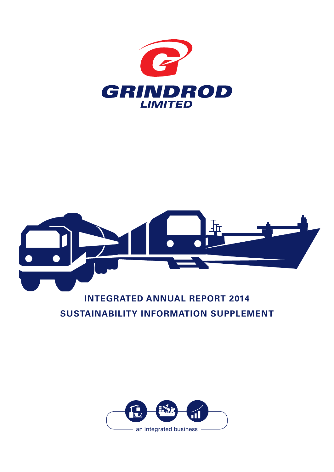



# **INTEGRATED ANNUAL REPORT 2014 SUSTAINABILITY INFORMATION SUPPLEMENT**

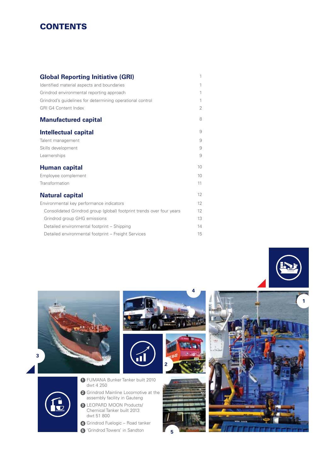# **CONTENTS**

**3**

| <b>Global Reporting Initiative (GRI)</b>                              | 1              |
|-----------------------------------------------------------------------|----------------|
| Identified material aspects and boundaries                            | 1              |
| Grindrod environmental reporting approach                             | 1              |
| Grindrod's quidelines for determining operational control             | 1              |
| <b>GRI G4 Content Index</b>                                           | $\overline{2}$ |
| <b>Manufactured capital</b>                                           | 8              |
| Intellectual capital                                                  | 9              |
| Talent management                                                     | 9              |
| Skills development                                                    | 9              |
| Learnerships                                                          | 9              |
| Human capital                                                         | 10             |
| Employee complement                                                   | 10             |
| Transformation                                                        | 11             |
| <b>Natural capital</b>                                                | 12             |
| Environmental key performance indicators                              | 12             |
| Consolidated Grindrod group (global) footprint trends over four years | 12             |
| Grindrod group GHG emissions                                          | 13             |
| Detailed environmental footprint - Shipping                           | 14             |
| Detailed environmental footprint - Freight Services                   | 15             |
|                                                                       |                |

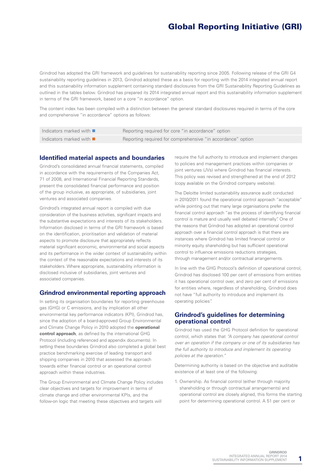# Global Reporting Initiative (GRI)

Grindrod has adopted the GRI framework and guidelines for sustainability reporting since 2005. Following release of the GRI G4 sustainability reporting guidelines in 2013, Grindrod adopted these as a basis for reporting with the 2014 integrated annual report and this sustainability information supplement containing standard disclosures from the GRI Sustainability Reporting Guidelines as outlined in the tables below. Grindrod has prepared its 2014 integrated annual report and this sustainability information supplement in terms of the GRI framework, based on a core "in accordance" option.

The content index has been compiled with a distinction between the general standard disclosures required in terms of the core and comprehensive "in accordance" options as follows:

| Indicators marked with $\blacksquare$ | Reporting required for core "in accordance" option          |
|---------------------------------------|-------------------------------------------------------------|
| Indicators marked with $\blacksquare$ | Reporting required for comprehensive "in accordance" option |

#### **Identified material aspects and boundaries**

Grindrod's consolidated annual financial statements, compiled in accordance with the requirements of the Companies Act, 71 of 2008, and International Financial Reporting Standards, present the consolidated financial performance and position of the group inclusive, as appropriate, of subsidiaries, joint ventures and associated companies.

Grindrod's integrated annual report is compiled with due consideration of the business activities, significant impacts and the substantive expectations and interests of its stakeholders. Information disclosed in terms of the GRI framework is based on the identification, prioritisation and validation of material aspects to promote disclosure that appropriately reflects material significant economic, environmental and social aspects and its performance in the wider context of sustainability within the context of the reasonable expectations and interests of its stakeholders. Where appropriate, sustainability information is disclosed inclusive of subsidiaries, joint ventures and associated companies.

#### **Grindrod environmental reporting approach**

In setting its organisation boundaries for reporting greenhouse gas (GHG) or C emissions, and by implication all other environmental key performance indicators (KPI), Grindrod has, since the adoption of a board-approved Group Environmental and Climate Change Policy in 2010 adopted the **operational control approach**, as defined by the international GHG Protocol (including referenced and appendix documents). In setting these boundaries Grindrod also completed a global best practice benchmarking exercise of leading transport and shipping companies in 2010 that assessed the approach towards either financial control or an operational control approach within these industries.

The Group Environmental and Climate Change Policy includes clear objectives and targets for improvement in terms of climate change and other environmental KPIs, and the follow-on logic that meeting these objectives and targets will

require the full authority to introduce and implement changes to policies and management practices within companies or joint ventures (JVs) where Grindrod has financial interests. This policy was revised and strengthened at the end of 2012 (copy available on the Grindrod company website).

The Deloitte limited sustainability assurance audit conducted in 2010/2011 found the operational control approach "acceptable" while pointing out that many large organisations prefer the financial control approach "as the process of identifying financial control is mature and usually well debated internally". One of the reasons that Grindrod has adopted an operational control approach over a financial control approach is that there are instances where Grindrod has limited financial control or minority equity shareholding but has sufficient operational control to influence emissions reductions strategies, through management and/or contractual arrangements.

In line with the GHG Protocol's definition of operational control, Grindrod has disclosed 100 per cent of emissions from entities it has operational control over, and zero per cent of emissions for entities where, regardless of shareholding, Grindrod does not have "full authority to introduce and implement its operating policies".

#### **Grindrod's guidelines for determining operational control**

Grindrod has used the GHG Protocol definition for operational control, which states that *"A company has operational control over an operation if the company or one of its subsidiaries has the full authority to introduce and implement its operating policies at the operation.*"

Determining authority is based on the objective and auditable existence of at least one of the following:

1. Ownership. As financial control (either through majority shareholding or through contractual arrangements) and operational control are closely aligned, this forms the starting point for determining operational control. A 51 per cent or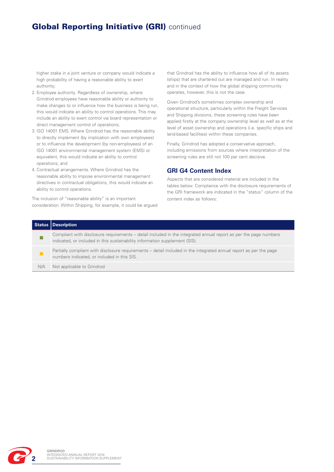# **Global Reporting Initiative (GRI)** continued

higher stake in a joint venture or company would indicate a high probability of having a reasonable ability to exert authority;

- 2. Employee authority. Regardless of ownership, where Grindrod employees have reasonable ability or authority to make changes to or influence how the business is being run, this would indicate an ability to control operations. This may include an ability to exert control via board representation or direct management control of operations;
- 3. ISO 14001 EMS. Where Grindrod has the reasonable ability to directly implement (by implication with own employees) or to influence the development (by non-employees) of an ISO 14001 environmental management system (EMS) or equivalent, this would indicate an ability to control operations; and
- 4. Contractual arrangements. Where Grindrod has the reasonable ability to impose environmental management directives in contractual obligations, this would indicate an ability to control operations.

The inclusion of "reasonable ability" is an important consideration. Within Shipping, for example, it could be argued

that Grindrod has the ability to influence how all of its assets (ships) that are chartered out are managed and run. In reality and in the context of how the global shipping community operates, however, this is not the case.

Given Grindrod's sometimes complex ownership and operational structure, particularly within the Freight Services and Shipping divisions, these screening rules have been applied firstly at the company ownership level as well as at the level of asset ownership and operations (i.e. specific ships and land-based facilities) within these companies.

Finally, Grindrod has adopted a conservative approach, including emissions from sources where interpretation of the screening rules are still not 100 per cent decisive.

## **GRI G4 Content Index**

Aspects that are considered material are included in the tables below. Compliance with the disclosure requirements of the GRI framework are indicated in the "status" column of the content index as follows:

|     | Status   Description                                                                                                                                                                            |
|-----|-------------------------------------------------------------------------------------------------------------------------------------------------------------------------------------------------|
|     | Compliant with disclosure requirements – detail included in the integrated annual report as per the page numbers<br>indicated, or included in this sustainability information supplement (SIS). |
|     | Partially compliant with disclosure requirements – detail included in the integrated annual report as per the page<br>numbers indicated, or included in this SIS.                               |
| N/A | Not applicable to Grindrod                                                                                                                                                                      |

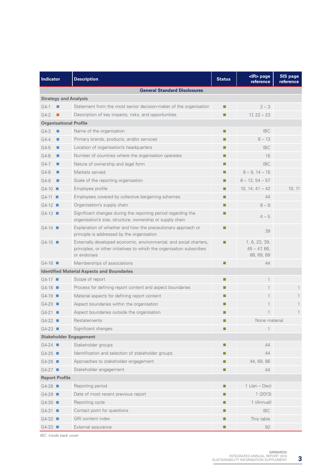| <b>Indicator</b><br><b>Description</b> |                                                                                                                                                            | <b>Status</b> | <ir> page<br/>reference</ir>                 | <b>SIS page</b><br>reference |  |  |  |
|----------------------------------------|------------------------------------------------------------------------------------------------------------------------------------------------------------|---------------|----------------------------------------------|------------------------------|--|--|--|
|                                        | <b>General Standard Disclosures</b>                                                                                                                        |               |                                              |                              |  |  |  |
| <b>Strategy and Analysis</b>           |                                                                                                                                                            |               |                                              |                              |  |  |  |
| $G4-1$                                 | Statement from the most senior decision-maker of the organisation                                                                                          | п             | $2 - 3$                                      |                              |  |  |  |
| $G4-2$                                 | Description of key impacts, risks, and opportunities                                                                                                       | п             | $17, 22 - 23$                                |                              |  |  |  |
| <b>Organisational Profile</b>          |                                                                                                                                                            |               |                                              |                              |  |  |  |
| G4-3<br>п                              | Name of the organisation                                                                                                                                   | u.            | <b>IBC</b>                                   |                              |  |  |  |
| $G4-4$<br>п                            | Primary brands, products, and/or services                                                                                                                  | ш             | $8 - 13$                                     |                              |  |  |  |
| $G4-5$<br>п                            | Location of organisation's headquarters                                                                                                                    | ш             | <b>IBC</b>                                   |                              |  |  |  |
| $G4-6$<br>$\blacksquare$               | Number of countries where the organisation operates                                                                                                        | u.            | 15                                           |                              |  |  |  |
| $G4-7$<br>п                            | Nature of ownership and legal form                                                                                                                         | ш             | <b>IBC</b>                                   |                              |  |  |  |
| G4-8<br>п                              | Markets served                                                                                                                                             | П             | $8 - 9$ , $14 - 15$                          |                              |  |  |  |
| G4-9<br>п                              | Scale of the reporting organisation                                                                                                                        | п             | $8 - 13, 54 - 57$                            |                              |  |  |  |
| $G4-10$                                | Employee profile                                                                                                                                           | ш             | 10, 14, $41 - 42$                            | 10, 11                       |  |  |  |
| $G4-11$                                | Employees covered by collective bargaining schemes                                                                                                         | ш             | 44                                           |                              |  |  |  |
| $G4-12$                                | Organisation's supply chain                                                                                                                                | ш             | $8 - 9$                                      |                              |  |  |  |
| $G4-13$                                | Significant changes during the reporting period regarding the<br>organisation's size, structure, ownership or supply chain                                 | ш             | $4 - 5$                                      |                              |  |  |  |
| $G4-14$                                | Explanation of whether and how the precautionary approach or<br>principle is addressed by the organisation                                                 | ш             | 39                                           |                              |  |  |  |
| $G4-15$                                | Externally developed economic, environmental, and social charters,<br>principles, or other initiatives to which the organisation subscribes<br>or endorses | T.            | 1, 6, 23, 39,<br>$45 - 47,66,$<br>68, 69, 89 |                              |  |  |  |
| $G4-16$                                | Memberships of associations                                                                                                                                | П             | 44                                           |                              |  |  |  |
|                                        | <b>Identified Material Aspects and Boundaries</b>                                                                                                          |               |                                              |                              |  |  |  |
| $G4-17$                                | Scope of report                                                                                                                                            | ш             | $\mathbf{1}$                                 |                              |  |  |  |
| $G4-18$                                | Process for defining report content and aspect boundaries                                                                                                  | ш             | 1                                            |                              |  |  |  |
| $G4-19$                                | Material aspects for defining report content                                                                                                               | ш             | 1                                            |                              |  |  |  |
| $G4-20$                                | Aspect boundaries within the organisation                                                                                                                  | ш             | 1                                            |                              |  |  |  |
| $G4-21$                                | Aspect boundaries outside the organisation                                                                                                                 | ш             | 1                                            | 1                            |  |  |  |
| $G4-22$                                | Restatements                                                                                                                                               |               | None material                                |                              |  |  |  |
| $G4-23$                                | Significant changes                                                                                                                                        |               | $\mathbf{1}$                                 |                              |  |  |  |
| <b>Stakeholder Engagement</b>          |                                                                                                                                                            |               |                                              |                              |  |  |  |
| $G4-24$                                | Stakeholder groups                                                                                                                                         | ш             | 44                                           |                              |  |  |  |
| $G4-25$                                | Identification and selection of stakeholder groups                                                                                                         | ш             | 44                                           |                              |  |  |  |
| $G4-26$                                | Approaches to stakeholder engagement                                                                                                                       | ш             | 44, 69, 86                                   |                              |  |  |  |
| $G4-27$                                | Stakeholder engagement                                                                                                                                     | T.            | 44                                           |                              |  |  |  |
| <b>Report Profile</b>                  |                                                                                                                                                            |               |                                              |                              |  |  |  |
| $G4-28$                                | Reporting period                                                                                                                                           |               | $1$ (Jan – Dec)                              |                              |  |  |  |
| $G4-29$                                | Date of most recent previous report                                                                                                                        | T.            | 1(2013)                                      |                              |  |  |  |
| $G4-30$                                | Reporting cycle                                                                                                                                            | ш             | 1 (Annual)                                   |                              |  |  |  |
| $G4-31$                                | Contact point for questions                                                                                                                                | ш             | <b>IBC</b>                                   |                              |  |  |  |
| $G4-32$                                | GRI content index                                                                                                                                          | ш             | This table                                   |                              |  |  |  |
| $G4-33$                                | External assurance                                                                                                                                         | ш             | 92                                           |                              |  |  |  |

*IBC: Inside back cover*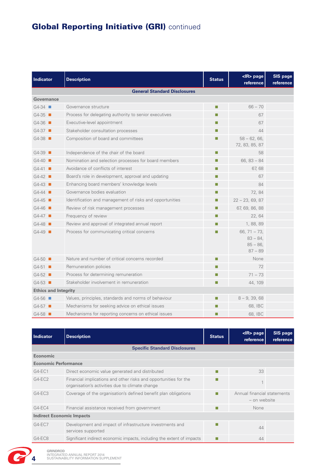# **Global Reporting Initiative (GRI)** continued

| <b>Indicator</b>                    | <b>Description</b>                                       | <b>Status</b> | <ir> page<br/>reference</ir>                            | <b>SIS page</b><br>reference |  |  |  |  |
|-------------------------------------|----------------------------------------------------------|---------------|---------------------------------------------------------|------------------------------|--|--|--|--|
| <b>General Standard Disclosures</b> |                                                          |               |                                                         |                              |  |  |  |  |
| Governance                          |                                                          |               |                                                         |                              |  |  |  |  |
| $G4-34$                             | Governance structure                                     | П             | $66 - 70$                                               |                              |  |  |  |  |
| $G4-35$                             | Process for delegating authority to senior executives    | п             | 67                                                      |                              |  |  |  |  |
| $G4-36$                             | Executive-level appointment                              | П             | 67                                                      |                              |  |  |  |  |
| $G4-37$                             | Stakeholder consultation processes                       | П             | 44                                                      |                              |  |  |  |  |
| $G4-38$                             | Composition of board and committees                      | П             | $58 - 62, 66,$<br>72, 83, 85, 87                        |                              |  |  |  |  |
| $G4-39$                             | Independence of the chair of the board                   | ш             | 58                                                      |                              |  |  |  |  |
| $G4-40$                             | Nomination and selection processes for board members     | ш             | $66, 83 - 84$                                           |                              |  |  |  |  |
| $G4-41$                             | Avoidance of conflicts of interest                       | П             | 67,68                                                   |                              |  |  |  |  |
| $G4-42$                             | Board's role in development, approval and updating       | $\Box$        | 67                                                      |                              |  |  |  |  |
| $G4-43$                             | Enhancing board members' knowledge levels                | П             | 84                                                      |                              |  |  |  |  |
| $G4-44$                             | Governance bodies evaluation                             | $\Box$        | 72, 84                                                  |                              |  |  |  |  |
| $G4-45$                             | Identification and management of risks and opportunities | П             | $22 - 23, 69, 87$                                       |                              |  |  |  |  |
| $G4-46$                             | Review of risk management processes                      | П             | 67, 69, 86, 88                                          |                              |  |  |  |  |
| $G4-47$                             | Frequency of review                                      | П             | 22, 64                                                  |                              |  |  |  |  |
| $G4-48$                             | Review and approval of integrated annual report          | П             | 1, 88, 89                                               |                              |  |  |  |  |
| $G4-49$                             | Process for communicating critical concerns              |               | 66, $71 - 73$ ,<br>$83 - 84.$<br>$85 - 86$<br>$87 - 89$ |                              |  |  |  |  |
| $G4-50$                             | Nature and number of critical concerns recorded          | □             | None                                                    |                              |  |  |  |  |
| $G4-51$                             | Remuneration policies                                    | П             | 72                                                      |                              |  |  |  |  |
| $G4-52$                             | Process for determining remuneration                     | П             | $71 - 73$                                               |                              |  |  |  |  |
| $G4-53$                             | Stakeholder involvement in remuneration                  | П             | 44, 109                                                 |                              |  |  |  |  |
| <b>Ethics and Integrity</b>         |                                                          |               |                                                         |                              |  |  |  |  |
| $G4-56$                             | Values, principles, standards and norms of behaviour     | П             | $8 - 9, 39, 68$                                         |                              |  |  |  |  |
| $G4-57$                             | Mechanisms for seeking advice on ethical issues          | ш             | 68, IBC                                                 |                              |  |  |  |  |
| $G4-58$                             | Mechanisms for reporting concerns on ethical issues      | П             | 68, IBC                                                 |                              |  |  |  |  |

| Indicator                        | <b>Description</b>                                                                                                  | <b>Status</b> | <ir> page<br/>reference</ir>                | <b>SIS page</b><br>reference |  |
|----------------------------------|---------------------------------------------------------------------------------------------------------------------|---------------|---------------------------------------------|------------------------------|--|
|                                  | <b>Specific Standard Disclosures</b>                                                                                |               |                                             |                              |  |
| <b>Economic</b>                  |                                                                                                                     |               |                                             |                              |  |
| <b>Economic Performance</b>      |                                                                                                                     |               |                                             |                              |  |
| $G4-EC1$                         | Direct economic value generated and distributed                                                                     |               | 33                                          |                              |  |
| $G4-EC2$                         | Financial implications and other risks and opportunities for the<br>organisation's activities due to climate change |               |                                             |                              |  |
| $G4-EC3$                         | Coverage of the organisation's defined benefit plan obligations                                                     | ш             | Annual financial statements<br>- on website |                              |  |
| $G4-EC4$                         | Financial assistance received from government                                                                       | ш             | None                                        |                              |  |
| <b>Indirect Economic Impacts</b> |                                                                                                                     |               |                                             |                              |  |
| $G4-EC7$                         | Development and impact of infrastructure investments and<br>services supported                                      |               | 44                                          |                              |  |
| G4-EC8                           | Significant indirect economic impacts, including the extent of impacts                                              |               | 44                                          |                              |  |



**GRINDROD**  INTEGRATED ANNUAL REPORT 2014 **4** SUSTAINABILITY INFORMATION SUPPLEMENT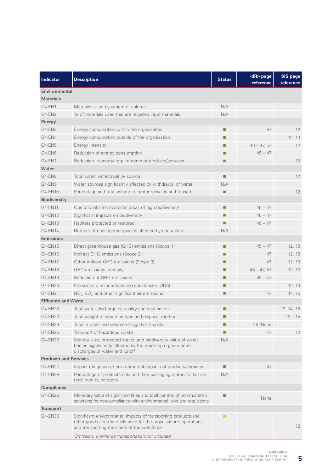| Indicator                    | <b>Description</b>                                                                                                                                                               | <b>Status</b> | <ir> page<br/>reference</ir> | SIS page<br>reference |
|------------------------------|----------------------------------------------------------------------------------------------------------------------------------------------------------------------------------|---------------|------------------------------|-----------------------|
| <b>Environmental</b>         |                                                                                                                                                                                  |               |                              |                       |
| <b>Materials</b>             |                                                                                                                                                                                  |               |                              |                       |
| G4-EN1                       | Materials used by weight or volume                                                                                                                                               | N/A           |                              |                       |
| G4-EN2                       | % of materials used that are recycled input materials                                                                                                                            | N/A           |                              |                       |
| <b>Energy</b>                |                                                                                                                                                                                  |               |                              |                       |
| G4-EN3                       | Energy consumption within the organisation                                                                                                                                       | ×,            | 57                           | 12                    |
| G4-EN4                       | Energy consumption outside of the organisation                                                                                                                                   | П             |                              | 12, 13                |
| G4-EN5                       | Energy intensity                                                                                                                                                                 | $\Box$        | $46 - 47, 57$                | 12                    |
| G4-EN6                       | Reduction of energy consumption                                                                                                                                                  | $\Box$        | $45 - 47$                    |                       |
| G4-EN7                       | Reduction in energy requirements of products/services                                                                                                                            | $\Box$        |                              | 12                    |
| Water                        |                                                                                                                                                                                  |               |                              |                       |
| G4-EN8                       | Total water withdrawal by source                                                                                                                                                 | ×.            |                              | 12                    |
| G4-EN9<br>G4-EN10            | Water sources significantly affected by withdrawal of water                                                                                                                      | N/A           |                              |                       |
| <b>Biodiversity</b>          | Percentage and total volume of water recycled and reused                                                                                                                         | Ш             |                              | 12                    |
| G4-EN11                      | Operational sites owned in areas of high biodiversity                                                                                                                            | ш             | $46 - 47$                    |                       |
| G4-EN12                      | Significant impacts on biodiversity                                                                                                                                              | ш             | $46 - 47$                    |                       |
| G4-EN13                      | Habitats protected or restored                                                                                                                                                   | П             | $46 - 47$                    |                       |
| G4-EN14                      | Number of endangered species affected by operations                                                                                                                              | N/A           |                              |                       |
| <b>Emissions</b>             |                                                                                                                                                                                  |               |                              |                       |
| G4-EN15                      | Direct greenhouse gas (GHG) emissions (Scope 1)                                                                                                                                  | ш             | $45 - 47$                    | 12, 13                |
| G4-EN16                      | Indirect GHG emissions (Scope 2)                                                                                                                                                 | $\Box$        | 47                           | 12, 13                |
| G4-EN17                      | Other indirect GHG emissions (Scope 3)                                                                                                                                           | П             | 47                           | 12, 13                |
| G4-EN18                      | GHG emissions intensity                                                                                                                                                          | $\Box$        | $45 - 47, 57$                | 12, 13                |
| G4-EN19                      | Reduction of GHG emissions                                                                                                                                                       | $\Box$        | $45 - 47$                    |                       |
| G4-EN20                      | Emissions of ozone-depleting substances (ODS)                                                                                                                                    | $\Box$        |                              | 12, 13                |
| G4-EN21                      | $NO_{x}$ , SO <sub>x</sub> , and other significant air emissions                                                                                                                 | П             | 47                           | 14, 15                |
| <b>Effluents and Waste</b>   |                                                                                                                                                                                  |               |                              |                       |
| G4-EN22                      | Total water discharge by quality and destination                                                                                                                                 | П             |                              | 12, 14, 15            |
| G4-EN23                      | Total weight of waste by type and disposal method                                                                                                                                | □             |                              | $12 - 15$             |
| G4-EN24                      | Total number and volume of significant spills                                                                                                                                    |               | 46 (None)                    |                       |
| G4-EN25                      | Transport of hazardous waste                                                                                                                                                     |               | 47                           | 12                    |
| G4-EN26                      | Identity, size, protected status, and biodiversity value of water<br>bodies significantly affected by the reporting organization's<br>discharges of water and runoff             | N/A           |                              |                       |
| <b>Products and Services</b> |                                                                                                                                                                                  |               |                              |                       |
| G4-EN27                      | Impact mitigation of environmental impacts of products/services                                                                                                                  |               | 47                           |                       |
| G4-EN28                      | Percentage of products sold and their packaging materials that are<br>reclaimed by category                                                                                      | N/A           |                              |                       |
| <b>Compliance</b>            |                                                                                                                                                                                  |               |                              |                       |
| G4-EN29                      | Monetary value of significant fines and total number of non-monetary<br>sanctions for non-compliance with environmental laws and regulations                                     | П             | None                         |                       |
| <b>Transport</b>             |                                                                                                                                                                                  |               |                              |                       |
| G4-EN30                      | Significant environmental impacts of transporting products and<br>other goods and materials used for the organisation's operations,<br>and transporting members of the workforce | п             |                              | 12                    |
|                              | Omission: workforce transportation not included                                                                                                                                  |               |                              |                       |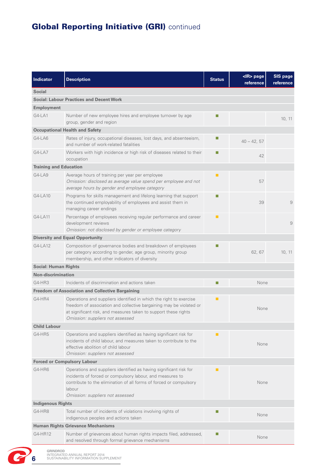# **Global Reporting Initiative (GRI)** continued

| <b>Indicator</b>              | <b>Description</b>                                                                                                                                                                                                                               | <b>Status</b> | $<$ IR $>$ page<br>reference | SIS page<br>reference |
|-------------------------------|--------------------------------------------------------------------------------------------------------------------------------------------------------------------------------------------------------------------------------------------------|---------------|------------------------------|-----------------------|
| <b>Social</b>                 |                                                                                                                                                                                                                                                  |               |                              |                       |
|                               | <b>Social: Labour Practices and Decent Work</b>                                                                                                                                                                                                  |               |                              |                       |
| <b>Employment</b>             |                                                                                                                                                                                                                                                  |               |                              |                       |
| $G4-LA1$                      | Number of new employee hires and employee turnover by age<br>group, gender and region                                                                                                                                                            | ш             |                              | 10, 11                |
|                               | <b>Occupational Health and Safety</b>                                                                                                                                                                                                            |               |                              |                       |
| G4-LA6                        | Rates of injury, occupational diseases, lost days, and absenteeism,<br>and number of work-related fatalities                                                                                                                                     |               | $40 - 42, 57$                |                       |
| G4-LA7                        | Workers with high incidence or high risk of diseases related to their<br>occupation                                                                                                                                                              |               | 42                           |                       |
| <b>Training and Education</b> |                                                                                                                                                                                                                                                  |               |                              |                       |
| G4-LA9                        | Average hours of training per year per employee<br>Omission: disclosed as average value spend per employee and not<br>average hours by gender and employee category                                                                              | п             | 57                           |                       |
| G4-LA10                       | Programs for skills management and lifelong learning that support<br>the continued employability of employees and assist them in<br>managing career endings                                                                                      | ш             | 39                           | 9                     |
| G4-LA11                       | Percentage of employees receiving regular performance and career<br>development reviews<br>Omission: not disclosed by gender or employee category                                                                                                | п             |                              | 9                     |
|                               | <b>Diversity and Equal Opportunity</b>                                                                                                                                                                                                           |               |                              |                       |
| $G4-LA12$                     | Composition of governance bodies and breakdown of employees<br>per category according to gender, age group, minority group<br>membership, and other indicators of diversity                                                                      |               | 62, 67                       | 10, 11                |
| <b>Social: Human Rights</b>   |                                                                                                                                                                                                                                                  |               |                              |                       |
| <b>Non-discrimination</b>     |                                                                                                                                                                                                                                                  |               |                              |                       |
| G4-HR3                        | Incidents of discrimination and actions taken                                                                                                                                                                                                    | П             | None                         |                       |
|                               | <b>Freedom of Association and Collective Bargaining</b>                                                                                                                                                                                          |               |                              |                       |
| G4-HR4                        | Operations and suppliers identified in which the right to exercise<br>freedom of association and collective bargaining may be violated or<br>at significant risk, and measures taken to support these rights<br>Omission: suppliers not assessed | п             | None                         |                       |
| <b>Child Labour</b>           |                                                                                                                                                                                                                                                  |               |                              |                       |
| G4-HR5                        | None                                                                                                                                                                                                                                             |               |                              |                       |
|                               | <b>Forced or Compulsory Labour</b>                                                                                                                                                                                                               |               |                              |                       |
| G4-HR6                        | None                                                                                                                                                                                                                                             |               |                              |                       |
| <b>Indigenous Rights</b>      |                                                                                                                                                                                                                                                  |               |                              |                       |
| G4-HR8                        | Total number of incidents of violations involving rights of<br>indigenous peoples and actions taken                                                                                                                                              |               | None                         |                       |
|                               | <b>Human Rights Grievance Mechanisms</b>                                                                                                                                                                                                         |               |                              |                       |
| G4-HR12                       | Number of grievances about human rights impacts filed, addressed,<br>and resolved through formal grievance mechanisms                                                                                                                            |               | None                         |                       |

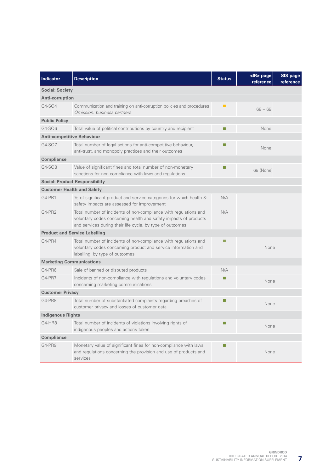| <b>Indicator</b>                  | <b>Description</b>                                                                                                                                                                                | <b>Status</b> | <ir> page<br/>reference</ir> | <b>SIS page</b><br>reference |  |  |  |
|-----------------------------------|---------------------------------------------------------------------------------------------------------------------------------------------------------------------------------------------------|---------------|------------------------------|------------------------------|--|--|--|
| <b>Social: Society</b>            |                                                                                                                                                                                                   |               |                              |                              |  |  |  |
| <b>Anti-corruption</b>            |                                                                                                                                                                                                   |               |                              |                              |  |  |  |
| G4-SO4                            | Communication and training on anti-corruption policies and procedures<br>Omission: business partners                                                                                              | п             | $68 - 69$                    |                              |  |  |  |
| <b>Public Policy</b>              |                                                                                                                                                                                                   |               |                              |                              |  |  |  |
| G4-SO6                            | Total value of political contributions by country and recipient                                                                                                                                   | П             | None                         |                              |  |  |  |
| <b>Anti-competitive Behaviour</b> |                                                                                                                                                                                                   |               |                              |                              |  |  |  |
| G4-SO7                            | Total number of legal actions for anti-competitive behaviour,<br>anti-trust, and monopoly practices and their outcomes                                                                            |               | None                         |                              |  |  |  |
| <b>Compliance</b>                 |                                                                                                                                                                                                   |               |                              |                              |  |  |  |
| G4-SO8                            | Value of significant fines and total number of non-monetary<br>sanctions for non-compliance with laws and regulations                                                                             |               | 68 (None)                    |                              |  |  |  |
|                                   | <b>Social: Product Responsibility</b>                                                                                                                                                             |               |                              |                              |  |  |  |
|                                   | <b>Customer Health and Safety</b>                                                                                                                                                                 |               |                              |                              |  |  |  |
| G4-PR1                            | % of significant product and service categories for which health &<br>safety impacts are assessed for improvement                                                                                 | N/A           |                              |                              |  |  |  |
| G4-PR2                            | Total number of incidents of non-compliance with regulations and<br>voluntary codes concerning health and safety impacts of products<br>and services during their life cycle, by type of outcomes | N/A           |                              |                              |  |  |  |
|                                   | <b>Product and Service Labelling</b>                                                                                                                                                              |               |                              |                              |  |  |  |
| G4-PR4                            | Total number of incidents of non-compliance with regulations and<br>voluntary codes concerning product and service information and<br>labelling, by type of outcomes                              | г             | None                         |                              |  |  |  |
| <b>Marketing Communications</b>   |                                                                                                                                                                                                   |               |                              |                              |  |  |  |
| G4-PR6                            | Sale of banned or disputed products                                                                                                                                                               | N/A           |                              |                              |  |  |  |
| G4-PR7                            | Incidents of non-compliance with regulations and voluntary codes<br>concerning marketing communications                                                                                           | г             | None                         |                              |  |  |  |
| <b>Customer Privacy</b>           |                                                                                                                                                                                                   |               |                              |                              |  |  |  |
| G4-PR8                            | Total number of substantiated complaints regarding breaches of<br>customer privacy and losses of customer data                                                                                    |               | None                         |                              |  |  |  |
| <b>Indigenous Rights</b>          |                                                                                                                                                                                                   |               |                              |                              |  |  |  |
| G4-HR8                            | Total number of incidents of violations involving rights of<br>indigenous peoples and actions taken                                                                                               |               | None                         |                              |  |  |  |
| <b>Compliance</b>                 |                                                                                                                                                                                                   |               |                              |                              |  |  |  |
| G4-PR9                            | Monetary value of significant fines for non-compliance with laws<br>and regulations concerning the provision and use of products and<br>services                                                  | г             | None                         |                              |  |  |  |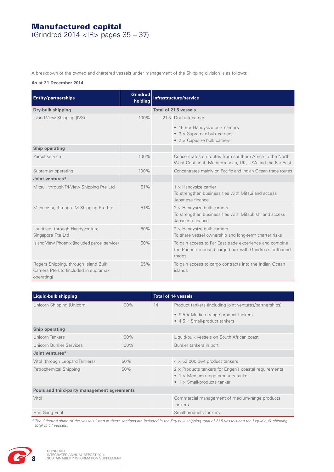# Manufactured capital

(Grindrod 2014 <IR> pages 35 – 37)

A breakdown of the owned and chartered vessels under management of the Shipping division is as follows:

### **As at 31 December 2014**

| <b>Entity/partnerships</b>                                                                   | <b>Grindrod</b><br>holding | Infrastructure/service |                                                                                                                              |  |  |
|----------------------------------------------------------------------------------------------|----------------------------|------------------------|------------------------------------------------------------------------------------------------------------------------------|--|--|
| <b>Dry-bulk shipping</b>                                                                     |                            | Total of 21.5 vessels  |                                                                                                                              |  |  |
| Island View Shipping (IVS)                                                                   | 100%                       |                        | 21.5 Dry-bulk carriers                                                                                                       |  |  |
|                                                                                              |                            |                        | • 16.5 $\times$ Handysize bulk carriers<br>• $3 \times$ Supramax bulk carriers<br>• $2 \times$ Capesize bulk carriers        |  |  |
| Ship operating                                                                               |                            |                        |                                                                                                                              |  |  |
| Parcel service                                                                               | 100%                       |                        | Concentrates on routes from southern Africa to the North<br>West Continent, Mediterranean, UK, USA and the Far East          |  |  |
| Supramax operating                                                                           | 100%                       |                        | Concentrates mainly on Pacific and Indian Ocean trade routes                                                                 |  |  |
| Joint ventures*                                                                              |                            |                        |                                                                                                                              |  |  |
| Mitsui, through Tri-View Shipping Pte Ltd                                                    | 51%                        |                        | $1 \times$ Handysize carrier<br>To strengthen business ties with Mitsui and access<br>Japanese finance                       |  |  |
| Mitsubishi, through IM Shipping Pte Ltd                                                      | 51%                        |                        | $2 \times$ Handysize bulk carriers<br>To strengthen business ties with Mitsubishi and access<br>Japanese finance             |  |  |
| Lauritzen, through Handyventure<br>Singapore Pte Ltd                                         | 50%                        |                        | $2 \times$ Handysize bulk carriers<br>To share vessel ownership and long-term charter risks                                  |  |  |
| Island View Phoenix (included parcel service)                                                | 50%                        |                        | To gain access to Far East trade experience and combine<br>the Phoenix inbound cargo book with Grindrod's outbound<br>trades |  |  |
| Rogers Shipping, through Island Bulk<br>Carriers Pte Ltd (included in supramax<br>operating) | 65%                        |                        | To gain access to cargo contracts into the Indian Ocean<br>islands                                                           |  |  |

| Liquid-bulk shipping                        |      |    | <b>Total of 14 vessels</b>                                                                                                                        |  |  |
|---------------------------------------------|------|----|---------------------------------------------------------------------------------------------------------------------------------------------------|--|--|
| Unicorn Shipping (Unicorn)                  | 100% | 14 | Product tankers (including joint ventures/partnerships)                                                                                           |  |  |
|                                             |      |    | • $9.5 \times$ Medium-range product tankers<br>$\bullet$ 4.5 $\times$ Small-product tankers                                                       |  |  |
| Ship operating                              |      |    |                                                                                                                                                   |  |  |
| Unicorn Tankers                             | 100% |    | Liquid-bulk vessels on South African coast                                                                                                        |  |  |
| Unicorn Bunker Services                     | 100% |    | Bunker tankers in port                                                                                                                            |  |  |
| Joint ventures*                             |      |    |                                                                                                                                                   |  |  |
| Vitol (through Leopard Tankers)             | 50%  |    | $4 \times 52$ 000 dwt product tankers                                                                                                             |  |  |
| Petrochemical Shipping                      | 50%  |    | $2 \times$ Products tankers for Engen's coastal requirements<br>$\bullet$ 1 x Medium-range products tanker<br>$\bullet$ 1 x Small-products tanker |  |  |
| Pools and third-party management agreements |      |    |                                                                                                                                                   |  |  |
| Vitol                                       |      |    | Commercial management of medium-range products<br>tankers                                                                                         |  |  |
| Han Gang Pool                               |      |    | Small-products tankers                                                                                                                            |  |  |

*\* The Grindrod share of the vessels listed in these sections are included in the Dry-bulk shipping total of 21.5 vessels and the Liquid-bulk shipping total of 14 vessels.*

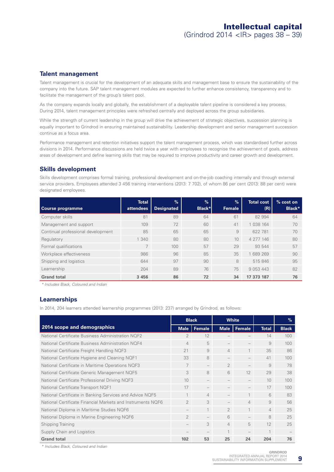### **Talent management**

Talent management is crucial for the development of an adequate skills and management base to ensure the sustainability of the company into the future. SAP talent management modules are expected to further enhance consistency, transparency and to facilitate the management of the group's talent pool.

As the company expands locally and globally, the establishment of a deployable talent pipeline is considered a key process. During 2014, talent management principles were refreshed centrally and deployed across the group subsidiaries.

While the strength of current leadership in the group will drive the achievement of strategic objectives, succession planning is equally important to Grindrod in ensuring maintained sustainability. Leadership development and senior management succession continue as a focus area.

Performance management and retention initiatives support the talent management process, which was standardised further across divisions in 2014. Performance discussions are held twice a year with employees to recognise the achievement of goals, address areas of development and define learning skills that may be required to improve productivity and career growth and development.

### **Skills development**

Skills development comprises formal training, professional development and on-the-job coaching internally and through external service providers. Employees attended 3 456 training interventions (2013: 7 702), of whom 86 per cent (2013: 88 per cent) were designated employees.

| Course programme                   | <b>Total</b><br>attendees | $\%$<br><b>Designated</b> | $\frac{9}{6}$<br><b>Black*</b> | $\%$<br>Female | <b>Total cost</b><br>(R) | $%$ cost on<br>Black* |
|------------------------------------|---------------------------|---------------------------|--------------------------------|----------------|--------------------------|-----------------------|
| Computer skills                    | 81                        | 89                        | 64                             | 61             | 82 994                   | 64                    |
| Management and support             | 109                       | 72                        | 60                             | 41             | 1 038 164                | 70                    |
| Continual professional development | 85                        | 65                        | 65                             | 9              | 622 781                  | 70                    |
| Regulatory                         | 1 340                     | 80                        | 80                             | 10             | 4 277 146                | 80                    |
| Formal qualifications              |                           | 100                       | 57                             | 29             | 93 544                   | 57                    |
| Workplace effectiveness            | 986                       | 96                        | 85                             | 35             | 1 689 269                | 90                    |
| Shipping and logistics             | 644                       | 97                        | 90                             | 8              | 515 846                  | 95                    |
| Learnership                        | 204                       | 89                        | 76                             | 75             | 9 0 5 3 4 4 3            | 82                    |
| <b>Grand total</b>                 | 3 4 5 6                   | 86                        | 72                             | 34             | 17 373 187               | 76                    |

*\* Includes Black, Coloured and Indian*

### **Learnerships**

In 2014, 204 learners attended learnership programmes (2013: 237) arranged by Grindrod, as follows:

|                                                             | <b>Black</b>             |                          |                          | <b>White</b>   |                | $\%$         |
|-------------------------------------------------------------|--------------------------|--------------------------|--------------------------|----------------|----------------|--------------|
| 2014 scope and demographics                                 |                          | Male   Female            |                          | Male   Female  | <b>Total</b>   | <b>Black</b> |
| National Certificate Business Administration NOF2           | $\overline{2}$           | 12                       |                          |                | 14             | 100          |
| National Certificate Business Administration NQF4           | $\Delta$                 | 5                        |                          |                | 9              | 100          |
| National Certificate Freight Handling NQF3                  | 21                       | 9                        | $\overline{4}$           | 1              | 35             | 86           |
| National Certificate Hygiene and Cleaning NQF1              | 33                       | 8                        | $\overline{\phantom{m}}$ |                | 41             | 100          |
| National Certificate in Maritime Operations NQF3            | 7                        | $\overline{\phantom{0}}$ | $\mathcal{P}$            |                | 9              | 78           |
| National Certificate Generic Management NQF5                | 3                        | 8                        | 6                        | 12             | 29             | 38           |
| National Certificate Professional Driving NQF3              | 10                       | $\overline{\phantom{0}}$ |                          |                | 10             | 100          |
| National Certificate Transport NQF1                         | 17                       |                          |                          |                | 17             | 100          |
| National Certificate in Banking Services and Advice NQF5    | 1                        | $\overline{4}$           |                          |                | 6              | 83           |
| National Certificate Financial Markets and Instruments NQF6 | $\overline{2}$           | 3                        |                          | $\overline{4}$ | 9              | 56           |
| National Diploma in Maritime Studies NQF6                   |                          |                          | $\mathcal{P}$            |                | $\overline{4}$ | 25           |
| National Diploma in Marine Engineering NQF6                 | $\overline{2}$           |                          | 6                        |                | 8              | 25           |
| <b>Shipping Training</b>                                    | $\overline{\phantom{0}}$ | 3                        | $\overline{4}$           | 5              | 12             | 25           |
| Supply Chain and Logistics                                  |                          |                          |                          |                | 1              |              |
| <b>Grand total</b>                                          | 102                      | 53                       | 25                       | 24             | 204            | 76           |

*\* Includes Black, Coloured and Indian*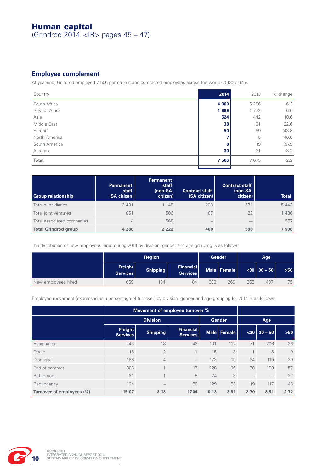# Human capital

(Grindrod 2014 <IR> pages 45 – 47)

## **Employee complement**

At year-end, Grindrod employed 7 506 permanent and contracted employees across the world (2013: 7 675).

| Country        | 2014    | 2013    | % change |
|----------------|---------|---------|----------|
| South Africa   | 4 9 6 0 | 5 2 8 6 | (6.2)    |
| Rest of Africa | 1889    | 1 7 7 2 | 6.6      |
| Asia           | 524     | 442     | 18.6     |
| Middle East    | 38      | 31      | 22.6     |
| Europe         | 50      | 89      | (43.8)   |
| North America  |         | 5       | 40.0     |
| South America  | 8       | 19      | (57.9)   |
| Australia      | 30      | 31      | (3.2)    |
| Total          | 7506    | 7675    | (2.2)    |
|                |         |         |          |

| <b>Group relationship</b>   | <b>Permanent</b><br>staff<br>(SA citizen) | <b>Permanent</b><br>staff<br>(non-SA<br>citizen) | <b>Contract staff</b><br>(SA citizen) | <b>Contract staff</b><br>(non-SA<br>citizen) | <b>Total</b> |
|-----------------------------|-------------------------------------------|--------------------------------------------------|---------------------------------------|----------------------------------------------|--------------|
| Total subsidiaries          | 3 4 3 1                                   | 1 148                                            | 293                                   | 571                                          | 5443         |
| Total joint ventures        | 851                                       | 506                                              | 107                                   | 22                                           | 1486         |
| Total associated companies  | 4                                         | 568                                              | $\overline{\phantom{a}}$              |                                              | 577          |
| <b>Total Grindrod group</b> | 4 2 8 6                                   | 2 2 2 2                                          | 400                                   | 598                                          | 7 506        |

The distribution of new employees hired during 2014 by division, gender and age grouping is as follows:

|                     | <b>Region</b>       |                 |                              |     | <b>Gender</b> |     | Age              |     |
|---------------------|---------------------|-----------------|------------------------------|-----|---------------|-----|------------------|-----|
|                     | Freight<br>Services | <b>Shipping</b> | Financial<br><b>Services</b> |     | Male   Female |     | $< 30$   30 - 50 | 550 |
| New employees hired | 659                 | 134             | 84                           | 608 | 269           | 365 | 437              | 75  |

Employee movement (expressed as a percentage of turnover) by division, gender and age grouping for 2014 is as follows:

|                           |                            | Movement of employee turnover % |                                     |       |               |      |                     |       |  |
|---------------------------|----------------------------|---------------------------------|-------------------------------------|-------|---------------|------|---------------------|-------|--|
|                           | <b>Division</b>            |                                 |                                     |       | <b>Gender</b> | Age  |                     |       |  |
|                           | <b>Freight</b><br>Services | <b>Shipping</b>                 | <b>Financial</b><br><b>Services</b> |       | Male   Female |      | $\sqrt{30}$ 30 - 50 | $>50$ |  |
| Resignation               | 243                        | 18                              | 42                                  | 191   | 112           | 71   | 206                 | 26    |  |
| Death                     | 15                         | $\overline{2}$                  | 1                                   | 15    | 3             |      | 8                   | 9     |  |
| Dismissal                 | 188                        | $\overline{4}$                  | $\qquad \qquad -$                   | 173   | 19            | 34   | 119                 | 39    |  |
| End of contract           | 306                        | $\mathbf{1}$                    | 17                                  | 228   | 96            | 78   | 189                 | 57    |  |
| Retirement                | 21                         | $\mathbf{1}$                    | 5                                   | 24    | 3             |      |                     | 27    |  |
| Redundancy                | 124                        |                                 | 58                                  | 129   | 53            | 19   | 117                 | 46    |  |
| Turnover of employees (%) | 15.07                      | 3.13                            | 17.04                               | 10.13 | 3.81          | 2.70 | 8.51                | 2.72  |  |

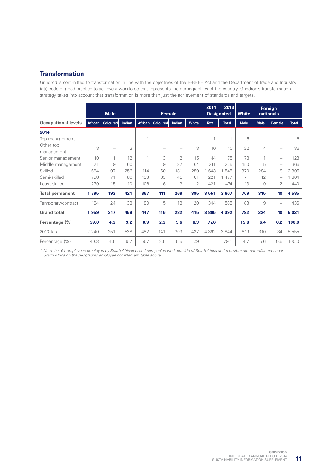## **Transformation**

Grindrod is committed to transformation in line with the objectives of the B-BBEE Act and the Department of Trade and Industry (dti) code of good practice to achieve a workforce that represents the demographics of the country. Grindrod's transformation strategy takes into account that transformation is more than just the achievement of standards and targets.

|                            | <b>Male</b>    |                 | <b>Female</b>            |                | 2014            | 2013<br><b>Designated</b> | <b>White</b>   |              | Foreign<br>nationals |             |             |                          |              |
|----------------------------|----------------|-----------------|--------------------------|----------------|-----------------|---------------------------|----------------|--------------|----------------------|-------------|-------------|--------------------------|--------------|
| <b>Occupational levels</b> | <b>African</b> | <b>Coloured</b> | Indian                   | <b>African</b> | <b>Coloured</b> | Indian                    | <b>White</b>   | <b>Total</b> | <b>Total</b>         | <b>Male</b> | <b>Male</b> | Female                   | <b>Total</b> |
| 2014                       |                |                 |                          |                |                 |                           |                |              |                      |             |             |                          |              |
| Top management             |                |                 | $\overline{\phantom{0}}$ | 1              |                 |                           |                | 1            | 1                    | 5           |             |                          | 6            |
| Other top<br>management    | 3              |                 | 3                        | 1              |                 |                           | 3              | 10           | 10                   | 22          | 4           | $\overline{\phantom{0}}$ | 36           |
| Senior management          | 10             | 1               | 12                       | 1              | 3               | $\overline{2}$            | 15             | 44           | 75                   | 78          | 1           | $\overline{\phantom{0}}$ | 123          |
| Middle management          | 21             | 9               | 60                       | 11             | 9               | 37                        | 64             | 211          | 225                  | 150         | 5           | $\overline{\phantom{0}}$ | 366          |
| Skilled                    | 684            | 97              | 256                      | 114            | 60              | 181                       | 250            | 1 643        | 1 545                | 370         | 284         | 8                        | 2 3 0 5      |
| Semi-skilled               | 798            | 71              | 80                       | 133            | 33              | 45                        | 61             | 221<br>1     | 477                  | 71          | 12          | $\overline{\phantom{0}}$ | 304<br>1     |
| Least skilled              | 279            | 15              | 10                       | 106            | 6               | 3                         | $\overline{2}$ | 421          | 474                  | 13          | 9           | 2                        | 440          |
| <b>Total permanent</b>     | 1795           | 193             | 421                      | 367            | 111             | 269                       | 395            | 3551         | 3807                 | 709         | 315         | 10                       | 4585         |
| Temporary/contract         | 164            | 24              | 38                       | 80             | 5               | 13                        | 20             | 344          | 585                  | 83          | 9           |                          | 436          |
| <b>Grand total</b>         | 1959           | 217             | 459                      | 447            | 116             | 282                       | 415            | 3895         | 4 3 9 2              | 792         | 324         | 10                       | 5 0 21       |
| Percentage (%)             | 39.0           | 4.3             | 9.2                      | 8.9            | 2.3             | 5.6                       | 8.3            | 77.6         |                      | 15.8        | 6.4         | 0.2                      | 100.0        |
| 2013 total                 | 2 2 4 0        | 251             | 538                      | 482            | 141             | 303                       | 437            | 4 3 9 2      | 3 8 4 4              | 819         | 310         | 34                       | 5 5 5 5      |
| Percentage (%)             | 40.3           | 4.5             | 9.7                      | 8.7            | 2.5             | 5.5                       | 7.9            |              | 79.1                 | 14.7        | 5.6         | 0.6                      | 100.0        |

*\* Note that 61 employees employed by South African-based companies work outside of South Africa and therefore are not reflected under South Africa on the geographic employee complement table above.*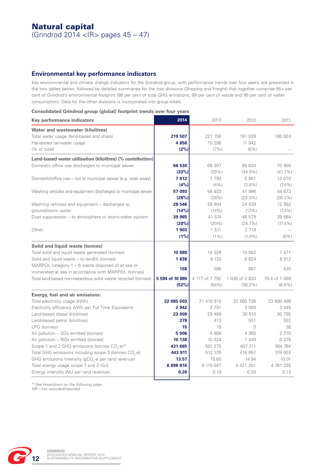# Natural capital

(Grindrod 2014 <IR> pages 45 – 47)

## **Environmental key performance indicators**

Key environmental and climate change indicators for the Grindrod group, with performance trends over four years, are presented in the two tables below; followed by detailed summaries for the two divisions (Shipping and Freight) that together comprise 95+ per cent of Grindrod's environmental footprint (98 per cent of total GHG emissions, 99 per cent of waste and 95 per cent of water consumption). Data for the other divisions is incorporated into group totals.

#### **Consolidated Grindrod group (global) footprint trends over four years**

| Key performance indicators                                    | 2014            | 2013           | 2012         | 2011          |
|---------------------------------------------------------------|-----------------|----------------|--------------|---------------|
| Water and wastewater (kilolitres)                             |                 |                |              |               |
| Total water usage (land-based and ships)                      | 219 507         | 227 156        | 191 529      | 180 824       |
| Harvested rainwater usage                                     | 4858            | 15 29 6        | 11 942       |               |
| (% of total)                                                  | (2%)            | $(7\%)$        | $(6\%)$      |               |
| Land-based water utilisation (kilolitres) (% contribution)    |                 |                |              |               |
| Domestic office use discharged to municipal sewer             | 66 530          | 69 307         | 65 634       | 70 995        |
|                                                               | (33%)           | (33%)          | $(34.9\%)$   | $(41.7\%)$    |
| Domestic/office use - not to municipal sewer (e.g. soak away) | 7612            | 7 7 9 4        | 6861         | 12 670        |
|                                                               | (4%)            | $(4\%)$        | $(3.6\%)$    | $(7.4\%)$     |
| Washing vehicles and equipment discharged to municipal sewer  | 57 093          | 56 933         | 41 996       | 44 673        |
|                                                               | (28%)           | (28%)          | $(22.3\%)$   | $(26.2\%)$    |
| Washing vehicles and equipment - discharged to                | 28 546          | 29 904         | 24 439       | 12 392        |
| ground/storm water                                            | (14%)           | (14% )         | (13%)        | $(7.3\%)$     |
| Dust suppression - to atmosphere or storm-water system        | 39 965          | 41 574         | 46 579       | 29 584        |
|                                                               | (20%)           | $(20\%)$       | $(24.7\%)$   | $(17.4\%)$    |
| Other                                                         | 1903            | 1 5 1 1        | 2 7 1 9      |               |
|                                                               | (1%)            | $(1\%)$        | $(1.4\%)$    | $(0\%)$       |
| Solid and liquid waste (tonnes)                               |                 |                |              |               |
| Total solid and liquid waste generated (tonnes)               | 10 889          | 14 328         | 10 562       | 7471          |
| Solid and liquid waste - to landfill (tonnes)                 | 1838            | 8 1 2 0        | 8824         | 6912          |
| MARPOL category 1 - 6 waste disposed of at sea or             |                 |                |              |               |
| incinerated at sea in accordance with MARPOL (tonnes)         | 158             | 586            | 687          | 435           |
| Total land-based non-hazardous solid waste recycled (tonnes)  | 5 594 of 10 889 | 4 177 of 7 792 | 1026 of 2833 | 70.4 of 1 068 |
|                                                               | (52%)           | (54% )         | $(36.2\%)$   | $(6.6\%)$     |
| Energy, fuel and air emissions:                               |                 |                |              |               |
| Total electricity usage (kWh)                                 | 22 085 003      | 21 416 815     | 22 560 736   | 23 699 498    |
| Electricity efficiency (kWh per Full Time Equivalent)         | 2 9 4 2         | 2 7 9 1        | 3 0 9 3      | 3 4 4 5       |
| Land-based diesel (kilolitres)                                | 23 009          | 29 4 69        | 30 910       | 30 795        |
| Land-based petrol (kilolitres)                                | 278             | 413            | 531          | 552           |
| LPG (tonnes)                                                  | 15              | 19             | 3            | 38            |
| Air pollution - SOx emitted (tonnes)                          | 5 0 0 6         | 4988           | 4 3 9 3      | 2 370         |
| Air pollution - NOx emitted (tonnes)                          | 10 138          | 10 324         | 7 4 4 9      | 6 3 7 8       |
| Scope 1 and 2 GHG emissions (tonnes $CO2$ -e)*                | 431 665         | 501 275        | 407 211      | 364 764       |
| Total GHG emissions including scope 3 (tonnes $CO2$ -e)       | 443 911         | 512 376        | 418 957      | 374 924       |
| GHG emissions Intensity ( $gCO2$ -e per rand revenue)         | 13.57           | 15.60          | 14.94        | 10.01         |
| Total energy usage scope 1 and 2 (GJ)                         | 6698816         | 6 119 047      | 5 421 251    | 4 761 335     |
| Energy intensity (MJ per rand revenue)                        | 0.20            | 0.19           | 0.20         | 0.13          |

*\* See breakdown on the following page. NR – not recorded/reported*

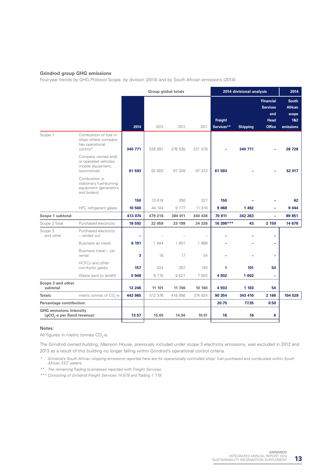#### **Grindrod group GHG emissions**

Four-year trends by GHG Protocol Scope, by division (2014) and by South African emissions (2014):

|                                                                                        |         | <b>Group global totals</b> |         |         | 2014 divisional analysis |                 |                                                                            | 2014                                                                    |
|----------------------------------------------------------------------------------------|---------|----------------------------|---------|---------|--------------------------|-----------------|----------------------------------------------------------------------------|-------------------------------------------------------------------------|
|                                                                                        | 2014    | 2013                       | 2012    | 2011    | Freight<br>Services**    | <b>Shipping</b> | <b>Financial</b><br><b>Services</b><br>and<br><b>Head</b><br><b>Office</b> | <b>South</b><br><b>African</b><br>scope<br>18 <sub>2</sub><br>emissions |
| Combustion of fuel in<br>Scope 1<br>ships where company<br>has operational<br>control* | 340 771 | 328 891                    | 276 535 | 231 078 |                          | 340 771         |                                                                            | 28 7 28                                                                 |
| Company owned and/<br>or operated vehicles,<br>mobile equipment,<br>locomotives        | 61 593  | 92 603                     | 97 349  | 97 223  | 61 593                   |                 |                                                                            | 52 017                                                                  |
| Combustion in<br>stationary fuel-burning<br>equipment (generators<br>and boilers)      |         |                            |         |         |                          |                 |                                                                            |                                                                         |
|                                                                                        | 150     | 13 618                     | 350     | 327     | 150                      |                 |                                                                            | 62                                                                      |
| HFC refrigerant gases                                                                  | 10 560  | 44 104                     | 9777    | 11 810  | 9 0 68                   | 1492            |                                                                            | 9 0 4 4                                                                 |
| Scope 1 subtotal                                                                       | 413 074 | 479 216                    | 384 011 | 340 438 | 70 811                   | 342 263         | ÷,                                                                         | 89 851                                                                  |
| Scope 2 Total<br>Purchased electricity                                                 | 18 592  | 22 059                     | 23 199  | 24 3 26 | 16 398***                | 43              | 2 150                                                                      | 14 678                                                                  |
| Scope 3<br>Purchased electricity<br>and other<br>- rented out                          | ۳       |                            |         |         |                          |                 |                                                                            |                                                                         |
| Business air travel                                                                    | 6 191   | 1944                       | 1851    | 1899    |                          |                 | ÷                                                                          |                                                                         |
| Business travel - car<br>rental                                                        | 3       | 18                         | 17      | 34      |                          |                 | ÷                                                                          |                                                                         |
| HCFCs and other<br>non-Kyoto gases                                                     | 157     | 424                        | 357     | 140     | 1                        | 101             | 54                                                                         |                                                                         |
| Waste sent to landfill                                                                 | 5948    | 8715                       | 9521    | 7 503   | 4932                     | 1 0 0 2         | ÷                                                                          |                                                                         |
| Scope 3 and other<br>subtotal                                                          | 12 246  | 11 101                     | 11 746  | 10 160  | 4933                     | 1 103           | 54                                                                         |                                                                         |
| <b>Totals</b><br>metric tonnes of CO <sub>3</sub> -e                                   | 443 965 | 512 376                    | 418 956 | 374 924 | 90 354                   | 343 410         | 2 166                                                                      | 104 529                                                                 |
| Percentage contribution:                                                               |         |                            |         |         | 20.75                    | 77.35           | 0.50                                                                       |                                                                         |
| <b>GHG emissions intensity</b><br>(gCO <sub>2</sub> -e per Rand revenue):              | 13.57   | 15.60                      | 14.94   | 10.01   | 16                       | 16              | 6                                                                          |                                                                         |

#### **Notes:**

All figures in metric tonnes CO<sub>2</sub>-e.

The Grindrod owned building, Mansion House, previously included under scope 3 electricity emissions, was excluded in 2012 and 2013 as a result of this building no longer falling within Grindrod's operational control criteria.

*\* Grindrod's South African shipping emissions reported here are for operationally controlled ships' fuel purchased and combusted within South African EEZ waters.*

*\*\* The remaining Trading businesses reported with Freight Services.*

*\*\*\* Consisting of Grindrod Freight Services 14 679 and Trading 1 719.*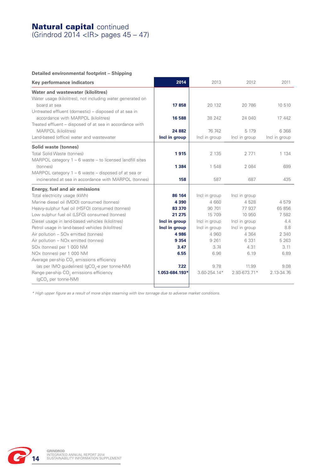## **Natural capital continued**

(Grindrod 2014 <IR> pages 45 – 47)

## **Detailed environmental footprint – Shipping**

| Key performance indicators                                                                                                      | 2014                     | 2013                    | 2012                     | 2011                  |
|---------------------------------------------------------------------------------------------------------------------------------|--------------------------|-------------------------|--------------------------|-----------------------|
| Water and wastewater (kilolitres)                                                                                               |                          |                         |                          |                       |
| Water usage (kilolitres), not including water generated on<br>board at sea                                                      | 17858                    | 20 132                  | 20 786                   | 10 510                |
| Untreated effluent (domestic) - disposed of at sea in<br>accordance with MARPOL (kilolitres)                                    | 16 588                   | 38 24 2                 | 24 040                   | 17 442                |
| Treated effluent – disposed of at sea in accordance with                                                                        |                          |                         |                          |                       |
| MARPOL (kilolitres)<br>Land-based (office) water and wastewater                                                                 | 24 8 82<br>Incl in group | 76 742<br>Incl in group | 5 1 7 9<br>Incl in group | 6368<br>Incl in group |
| Solid waste (tonnes)                                                                                                            |                          |                         |                          |                       |
| Total Solid Waste (tonnes)                                                                                                      | 1915                     | 2 1 3 5                 | 2 7 7 1                  | 1 1 3 4               |
| MARPOL category $1 - 6$ waste $-$ to licensed landfill sites<br>(tonnes)<br>MARPOL category 1 - 6 waste - disposed of at sea or | 1 3 8 4                  | 1 548                   | 2 0 8 4                  | 699                   |
| incinerated at sea in accordance with MARPOL (tonnes)                                                                           | 158                      | 587                     | 687                      | 435                   |
| Energy, fuel and air emissions                                                                                                  |                          |                         |                          |                       |
| Total electricity usage (kWh)                                                                                                   | 86 164                   | Incl in group           | Incl in group            |                       |
| Marine diesel oil (MDO) consumed (tonnes)                                                                                       | 4 3 9 0                  | 4 6 6 0                 | 4528                     | 4579                  |
| Heavy-sulphur fuel oil (HSFO) consumed (tonnes)                                                                                 | 83 370                   | 90 701                  | 77 937                   | 65 856                |
| Low sulphur fuel oil (LSFO) consumed (tonnes)                                                                                   | 21 275                   | 15 709                  | 10 950                   | 7582                  |
| Diesel usage in land-based vehicles (kilolitres)                                                                                | Incl in group            | Incl in group           | Incl in group            | 4.4                   |
| Petrol usage in land-based vehicles (kilolitres)                                                                                | Incl in group            | Incl in group           | Incl in group            | 8.8                   |
| Air pollution - SOx emitted (tonnes)                                                                                            | 4 9 8 6                  | 4 9 6 0                 | 4 3 6 4                  | 2 3 4 0               |
| Air pollution - NOx emitted (tonnes)                                                                                            | 9 3 5 4                  | 9 2 6 1                 | 6 3 3 1                  | 5 2 6 3               |
| SOx (tonnes) per 1 000 NM                                                                                                       | 3.47                     | 3.74                    | 4.31                     | 3.11                  |
| NOx (tonnes) per 1 000 NM                                                                                                       | 6.55                     | 6.96                    | 6.19                     | 6.89                  |
| Average per-ship CO <sub>2</sub> emissions efficiency                                                                           |                          |                         |                          |                       |
| (as per IMO guidelines) (gCO <sub>2</sub> -e per tonne-NM)                                                                      | 7.22                     | 9.78                    | 11.99                    | 9.08                  |
| Range per-ship CO <sub>2</sub> emissions efficiency<br>(gCO <sub>2</sub> per tonne-NM)                                          | 1.053-684.193*           | $3.60 - 254.14*$        | 2.93-673.71*             | 2.13-34.76            |

*\* High upper figure as a result of more ships steaming with low tonnage due to adverse market conditions.*